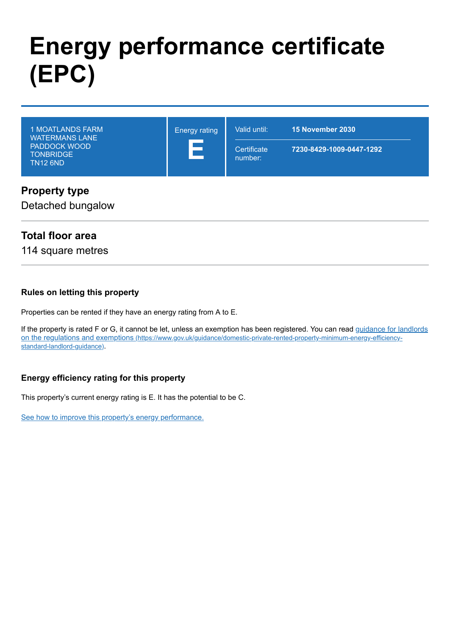# **Energy performance certificate (EPC)**

|--|

**Property type** Detached bungalow

### **Total floor area**

114 square metres

### **Rules on letting this property**

Properties can be rented if they have an energy rating from A to E.

[If the property is rated F or G, it cannot be let, unless an exemption has been registered. You can read guidance for landlords](https://www.gov.uk/guidance/domestic-private-rented-property-minimum-energy-efficiency-standard-landlord-guidance) on the regulations and exemptions (https://www.gov.uk/guidance/domestic-private-rented-property-minimum-energy-efficiencystandard-landlord-guidance).

### **Energy efficiency rating for this property**

This property's current energy rating is E. It has the potential to be C.

[See how to improve this property's energy performance.](#page-3-0)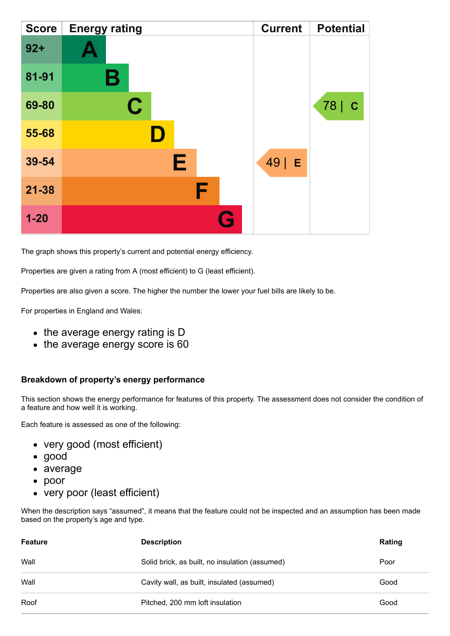| <b>Score</b> | <b>Energy rating</b> | <b>Current</b> | <b>Potential</b>    |
|--------------|----------------------|----------------|---------------------|
| $92 +$       |                      |                |                     |
| 81-91        | Β                    |                |                     |
| 69-80        | $\mathbf C$          |                | 78  <br>$\mathbf C$ |
| 55-68        |                      |                |                     |
| 39-54        | Е                    | $49$   E       |                     |
| $21 - 38$    | F                    |                |                     |
| $1 - 20$     | Q                    |                |                     |

The graph shows this property's current and potential energy efficiency.

Properties are given a rating from A (most efficient) to G (least efficient).

Properties are also given a score. The higher the number the lower your fuel bills are likely to be.

For properties in England and Wales:

- the average energy rating is D
- the average energy score is 60

### **Breakdown of property's energy performance**

This section shows the energy performance for features of this property. The assessment does not consider the condition of a feature and how well it is working.

Each feature is assessed as one of the following:

- very good (most efficient)
- good
- average
- poor
- very poor (least efficient)

When the description says "assumed", it means that the feature could not be inspected and an assumption has been made based on the property's age and type.

| <b>Feature</b> | <b>Description</b>                             | Rating |
|----------------|------------------------------------------------|--------|
| Wall           | Solid brick, as built, no insulation (assumed) | Poor   |
| Wall           | Cavity wall, as built, insulated (assumed)     | Good   |
| Roof           | Pitched, 200 mm loft insulation                | Good   |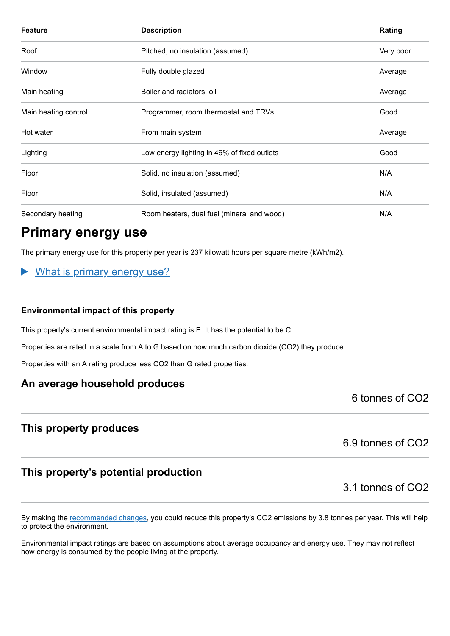| <b>Feature</b>       | <b>Description</b>                          | Rating    |
|----------------------|---------------------------------------------|-----------|
| Roof                 | Pitched, no insulation (assumed)            | Very poor |
| Window               | Fully double glazed                         | Average   |
| Main heating         | Boiler and radiators, oil                   | Average   |
| Main heating control | Programmer, room thermostat and TRVs        | Good      |
| Hot water            | From main system                            | Average   |
| Lighting             | Low energy lighting in 46% of fixed outlets | Good      |
| Floor                | Solid, no insulation (assumed)              | N/A       |
| Floor                | Solid, insulated (assumed)                  | N/A       |
| Secondary heating    | Room heaters, dual fuel (mineral and wood)  | N/A       |

# **Primary energy use**

The primary energy use for this property per year is 237 kilowatt hours per square metre (kWh/m2).

### What is primary energy use?

### **Environmental impact of this property**

This property's current environmental impact rating is E. It has the potential to be C.

Properties are rated in a scale from A to G based on how much carbon dioxide (CO2) they produce.

Properties with an A rating produce less CO2 than G rated properties.

### **An average household produces**

6 tonnes of CO2

### **This property produces**

6.9 tonnes of CO2

### **This property's potential production**

3.1 tonnes of CO2

By making the [recommended changes,](#page-3-0) you could reduce this property's CO2 emissions by 3.8 tonnes per year. This will help to protect the environment.

Environmental impact ratings are based on assumptions about average occupancy and energy use. They may not reflect how energy is consumed by the people living at the property.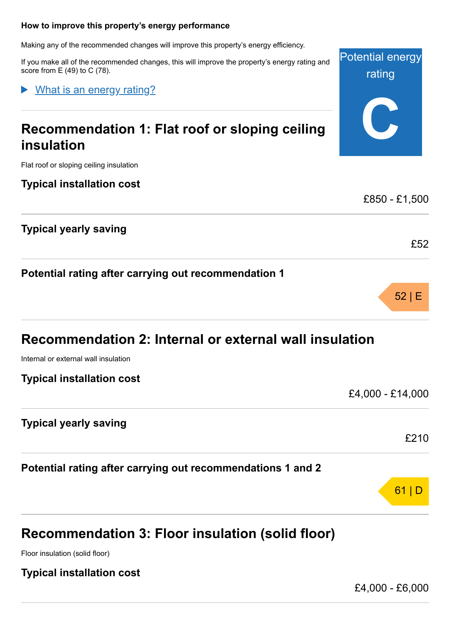### <span id="page-3-0"></span>**How to improve this property's energy performance**

Making any of the recommended changes will improve this property's energy efficiency.

If you make all of the recommended changes, this will improve the property's energy rating and score from E (49) to C (78).

What is an energy rating?

# **Recommendation 1: Flat roof or sloping ceiling insulation**

Flat roof or sloping ceiling insulation

**Typical installation cost**

**Typical yearly saving**

**Potential rating after carrying out recommendation 1**

Internal or external wall insulation

**Typical installation cost**

**Typical yearly saving**

**Potential rating after carrying out recommendations 1 and 2**

# **Recommendation 3: Floor insulation (solid floor)**

Floor insulation (solid floor)

**Typical installation cost**

£4,000 - £6,000

£850 - £1,500 £52



£4,000 - £14,000

£210

61 | D

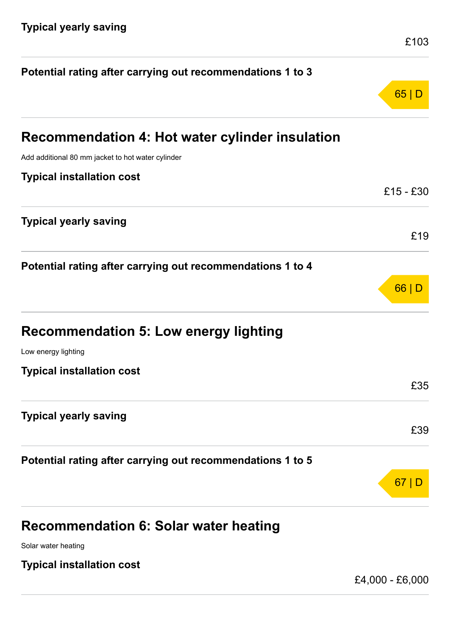| Potential rating after carrying out recommendations 1 to 3 |                 |
|------------------------------------------------------------|-----------------|
|                                                            | 65              |
| Recommendation 4: Hot water cylinder insulation            |                 |
| Add additional 80 mm jacket to hot water cylinder          |                 |
| <b>Typical installation cost</b>                           |                 |
|                                                            | £15 - £30       |
| <b>Typical yearly saving</b>                               | £19             |
| Potential rating after carrying out recommendations 1 to 4 |                 |
|                                                            | 66              |
| <b>Recommendation 5: Low energy lighting</b>               |                 |
| Low energy lighting                                        |                 |
| <b>Typical installation cost</b>                           |                 |
|                                                            | £35             |
| <b>Typical yearly saving</b>                               |                 |
|                                                            | £39             |
| Potential rating after carrying out recommendations 1 to 5 |                 |
|                                                            | 67              |
| <b>Recommendation 6: Solar water heating</b>               |                 |
| Solar water heating                                        |                 |
| <b>Typical installation cost</b>                           |                 |
|                                                            | £4,000 - £6,000 |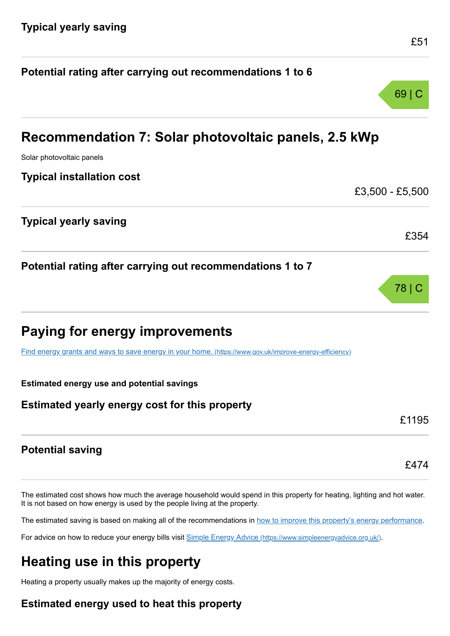|                                                                                                         | 69   C          |
|---------------------------------------------------------------------------------------------------------|-----------------|
| Recommendation 7: Solar photovoltaic panels, 2.5 kWp                                                    |                 |
| Solar photovoltaic panels                                                                               |                 |
| <b>Typical installation cost</b>                                                                        |                 |
|                                                                                                         | £3,500 - £5,500 |
| <b>Typical yearly saving</b>                                                                            |                 |
|                                                                                                         | £354            |
| Potential rating after carrying out recommendations 1 to 7                                              |                 |
|                                                                                                         | 78   C          |
| Paying for energy improvements                                                                          |                 |
| Find energy grants and ways to save energy in your home. (https://www.gov.uk/improve-energy-efficiency) |                 |
| <b>Estimated energy use and potential savings</b>                                                       |                 |
| Estimated yearly energy cost for this property                                                          |                 |
|                                                                                                         | £1195           |
| <b>Potential saving</b>                                                                                 |                 |
|                                                                                                         | £474            |

**Potential rating after carrying out recommendations 1 to 6**

The estimated cost shows how much the average household would spend in this property for heating, lighting and hot water. It is not based on how energy is used by the people living at the property.

The estimated saving is based on making all of the recommendations in [how to improve this property's energy performance.](#page-3-0)

For advice on how to reduce your energy bills visit Simple Energy Advice [\(https://www.simpleenergyadvice.org.uk/\)](https://www.simpleenergyadvice.org.uk/).

# **Heating use in this property**

Heating a property usually makes up the majority of energy costs.

### **Estimated energy used to heat this property**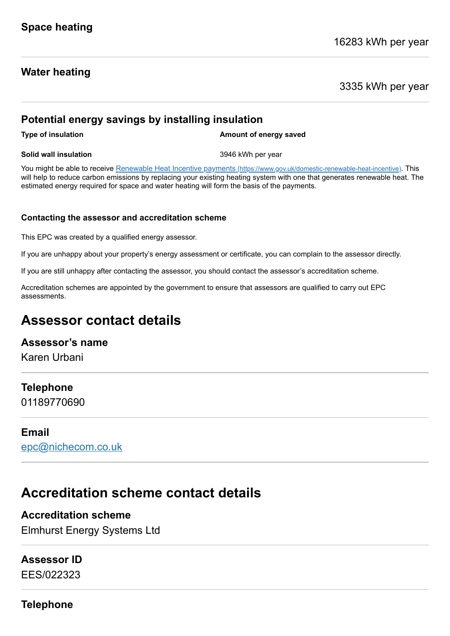### **Water heating**

3335 kWh per year

### **Potential energy savings by installing insulation**

**Type of insulation Amount of energy saved** 

### **Solid wall insulation** 3946 kWh per year

You might be able to receive Renewable Heat Incentive payments [\(https://www.gov.uk/domestic-renewable-heat-incentive\)](https://www.gov.uk/domestic-renewable-heat-incentive). This will help to reduce carbon emissions by replacing your existing heating system with one that generates renewable heat. The estimated energy required for space and water heating will form the basis of the payments.

### **Contacting the assessor and accreditation scheme**

This EPC was created by a qualified energy assessor.

If you are unhappy about your property's energy assessment or certificate, you can complain to the assessor directly.

If you are still unhappy after contacting the assessor, you should contact the assessor's accreditation scheme.

Accreditation schemes are appointed by the government to ensure that assessors are qualified to carry out EPC assessments.

# **Assessor contact details**

### **Assessor's name**

Karen Urbani

### **Telephone**

01189770690

### **Email**

[epc@nichecom.co.uk](mailto:epc@nichecom.co.uk)

# **Accreditation scheme contact details**

### **Accreditation scheme**

Elmhurst Energy Systems Ltd

### **Assessor ID**

EES/022323

**Telephone**